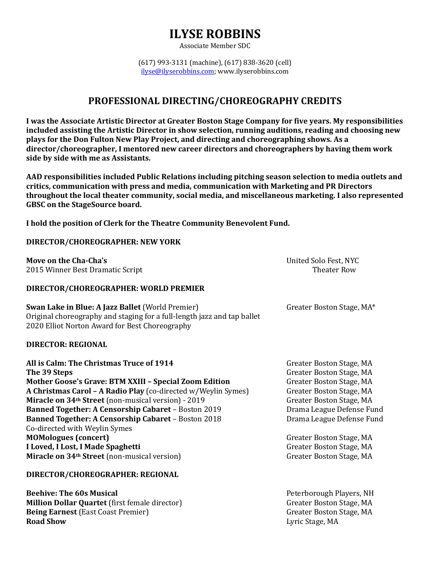Associate Member SDC

(617) 993-3131 (machine), (617) 838-3620 (cell) ilyse@ilyserobbins.com; www.ilyserobbins.com

### **PROFESSIONAL DIRECTING/CHOREOGRAPHY CREDITS**

I was the Associate Artistic Director at Greater Boston Stage Company for five years. My responsibilities included assisting the Artistic Director in show selection, running auditions, reading and choosing new **plays for the Don Fulton New Play Project, and directing and choreographing shows. As a** director/choreographer, I mentored new career directors and choreographers by having them work side by side with me as Assistants.

AAD responsibilities included Public Relations including pitching season selection to media outlets and critics, communication with press and media, communication with Marketing and PR Directors **throughout the local theater community, social media, and miscellaneous marketing. I also represented GBSC** on the StageSource board.

**I** hold the position of Clerk for the Theatre Community Benevolent Fund.

### **DIRECTOR/CHOREOGRAPHER: NEW YORK**

**Move on the Cha-Cha's** and the **Cha-Cha's** Character Changes and the United Solo Fest, NYC **2015** Winner Best Dramatic Script Theater Row Theater Row

#### **DIRECTOR/CHOREOGRAPHER: WORLD PREMIER**

**Swan Lake in Blue: A Jazz Ballet** (World Premier) Greater Boston Stage, MA\* Original choreography and staging for a full-length jazz and tap ballet 2020 Elliot Norton Award for Best Choreography

#### **DIRECTOR: REGIONAL**

**All is Calm: The Christmas Truce of 1914** Greater Boston Stage, MA **The 39 Steps** Greater Boston Stage, MA **Mother Goose's Grave: BTM XXIII - Special Zoom Edition Greater Boston Stage, MA A Christmas Carol – A Radio Play** (co-directed w/Weylin Symes) Greater Boston Stage, MA **Miracle on 34<sup>th</sup> Street** (non-musical version) - 2019 Greater Boston Stage, MA **Banned Together: A Censorship Cabaret – Boston 2019** Drama League Defense Fund **Banned Together: A Censorship Cabaret – Boston 2018** Drama League Defense Fund Co-directed with Weylin Symes **MOMologues (concert)** Greater Boston Stage, MA **I Loved, I Lost, I Made Spaghetti** Greater Boston Stage, MA **Miracle on 34<sup>th</sup> Street** (non-musical version) Greater Boston Stage, MA

#### **DIRECTOR/CHOREOGRAPHER: REGIONAL**

**Beehive: The 60s Musical** Peterborough Players, NH **Million Dollar Quartet** (first female director) Greater Boston Stage, MA **Being Earnest** (East Coast Premier) Greater Boston Stage, MA **Road Show** Lyric Stage, MA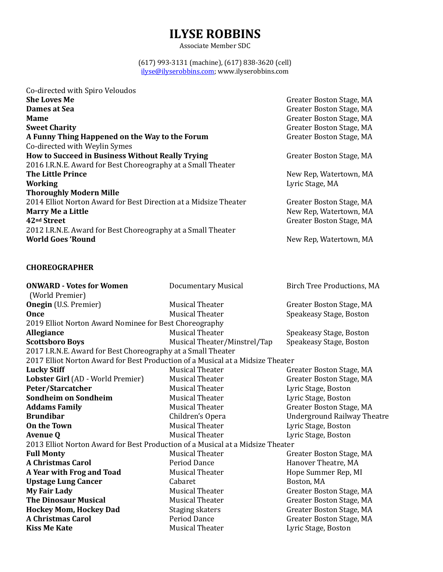Associate Member SDC

#### (617) 993-3131 (machine), (617) 838-3620 (cell) ilyse@ilyserobbins.com; www.ilyserobbins.com

| Co-directed with Spiro Veloudos                                  |                          |
|------------------------------------------------------------------|--------------------------|
| <b>She Loves Me</b>                                              | Greater Boston Stage, MA |
| Dames at Sea                                                     | Greater Boston Stage, MA |
| <b>Mame</b>                                                      | Greater Boston Stage, MA |
| <b>Sweet Charity</b>                                             | Greater Boston Stage, MA |
| A Funny Thing Happened on the Way to the Forum                   | Greater Boston Stage, MA |
| Co-directed with Weylin Symes                                    |                          |
| How to Succeed in Business Without Really Trying                 | Greater Boston Stage, MA |
| 2016 I.R.N.E. Award for Best Choreography at a Small Theater     |                          |
| <b>The Little Prince</b>                                         | New Rep, Watertown, MA   |
| <b>Working</b>                                                   | Lyric Stage, MA          |
| <b>Thoroughly Modern Mille</b>                                   |                          |
| 2014 Elliot Norton Award for Best Direction at a Midsize Theater | Greater Boston Stage, MA |
| <b>Marry Me a Little</b>                                         | New Rep, Watertown, MA   |
| 42 <sup>nd</sup> Street                                          | Greater Boston Stage, MA |
| 2012 I.R.N.E. Award for Best Choreography at a Small Theater     |                          |
| <b>World Goes 'Round</b>                                         | New Rep, Watertown, MA   |
|                                                                  |                          |

### **CHOREOGRAPHER**

| <b>ONWARD - Votes for Women</b>                                                | <b>Documentary Musical</b>   | <b>Birch Tree Productions, MA</b>  |  |
|--------------------------------------------------------------------------------|------------------------------|------------------------------------|--|
| (World Premier)                                                                |                              |                                    |  |
| <b>Onegin</b> (U.S. Premier)                                                   | <b>Musical Theater</b>       | Greater Boston Stage, MA           |  |
| <b>Once</b>                                                                    | <b>Musical Theater</b>       | Speakeasy Stage, Boston            |  |
| 2019 Elliot Norton Award Nominee for Best Choreography                         |                              |                                    |  |
| Allegiance                                                                     | <b>Musical Theater</b>       | Speakeasy Stage, Boston            |  |
| <b>Scottsboro Boys</b>                                                         | Musical Theater/Minstrel/Tap | Speakeasy Stage, Boston            |  |
| 2017 I.R.N.E. Award for Best Choreography at a Small Theater                   |                              |                                    |  |
| 2017 Elliot Norton Award for Best Production of a Musical at a Midsize Theater |                              |                                    |  |
| <b>Lucky Stiff</b>                                                             | <b>Musical Theater</b>       | Greater Boston Stage, MA           |  |
| Lobster Girl (AD - World Premier)                                              | <b>Musical Theater</b>       | Greater Boston Stage, MA           |  |
| Peter/Starcatcher                                                              | <b>Musical Theater</b>       | Lyric Stage, Boston                |  |
| Sondheim on Sondheim                                                           | <b>Musical Theater</b>       | Lyric Stage, Boston                |  |
| <b>Addams Family</b>                                                           | <b>Musical Theater</b>       | Greater Boston Stage, MA           |  |
| <b>Brundibar</b>                                                               | Children's Opera             | <b>Underground Railway Theatre</b> |  |
| On the Town                                                                    | <b>Musical Theater</b>       | Lyric Stage, Boston                |  |
| <b>Avenue Q</b>                                                                | <b>Musical Theater</b>       | Lyric Stage, Boston                |  |
| 2013 Elliot Norton Award for Best Production of a Musical at a Midsize Theater |                              |                                    |  |
| <b>Full Monty</b>                                                              | <b>Musical Theater</b>       | Greater Boston Stage, MA           |  |
| <b>A Christmas Carol</b>                                                       | Period Dance                 | Hanover Theatre, MA                |  |
| A Year with Frog and Toad                                                      | <b>Musical Theater</b>       | Hope Summer Rep, MI                |  |
| <b>Upstage Lung Cancer</b>                                                     | Cabaret                      | Boston, MA                         |  |
| My Fair Lady                                                                   | <b>Musical Theater</b>       | Greater Boston Stage, MA           |  |
| <b>The Dinosaur Musical</b>                                                    | <b>Musical Theater</b>       | Greater Boston Stage, MA           |  |
| <b>Hockey Mom, Hockey Dad</b>                                                  | <b>Staging skaters</b>       | Greater Boston Stage, MA           |  |
| <b>A Christmas Carol</b>                                                       | <b>Period Dance</b>          | Greater Boston Stage, MA           |  |
| <b>Kiss Me Kate</b>                                                            | <b>Musical Theater</b>       | Lyric Stage, Boston                |  |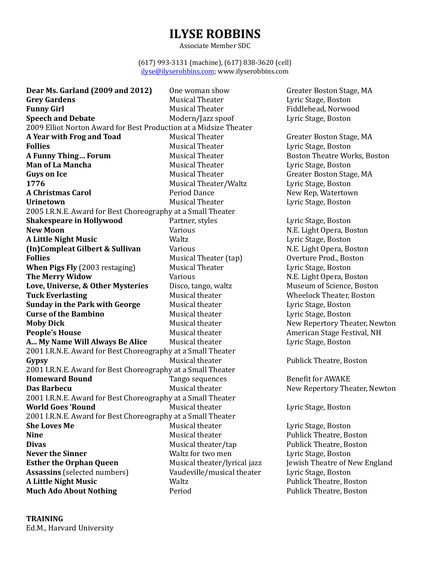Associate Member SDC

(617) 993-3131 (machine), (617) 838-3620 (cell) ilyse@ilyserobbins.com; www.ilyserobbins.com

**Dear Ms. Garland (2009 and 2012)** One woman show Greater Boston Stage, MA **Grey Gardens Carrollace Contract Contract Contract Contract Contract Contract Contract Contract Contract Contract Contract Contract Contract Contract Contract Contract Contract Contract Contract Contract Contract Contra Funny Girl Example 20 Musical Theater Fiddlehead, Norwood Speech and Debate** Modern/Jazz spoof Lyric Stage, Boston 2009 Elliot Norton Award for Best Production at a Midsize Theater **A Year with Frog and Toad** Musical Theater Greater Boston Stage, MA **Follies Follies Example 2 Musical Theater Lyric Stage, Boston A Funny Thing... Forum** Musical Theater **Boston Theatre Works, Boston Man of La Mancha** Musical Theater **Musical Theater** Lyric Stage, Boston **Guys on Ice Musical Theater** Greater Boston Stage, MA **1776 Musical Theater/Waltz** Lyric Stage, Boston **A Christmas Carol The Carol Period Dance The Carolism New Rep, Watertown Urinetown** Musical Theater Lyric Stage, Boston 2005 I.R.N.E. Award for Best Choreography at a Small Theater **Shakespeare in Hollywood** Partner, styles Partner, and Lyric Stage, Boston **New Moon New Moon New Moon New Moon New Moon New Moon New Moon New Moon A Little Night Music Contract Waltz** Waltz **Lyric Stage, Boston (In)Compleat Gilbert & Sullivan** Various Various N.E. Light Opera, Boston Various N.E. Light Opera, Boston Various N.E. Light Opera, Boston Various N.E. Light Opera, Boston Various N.E. Light Opera, Boston Various N.E. Li **Follies Follies Example 2018** Musical Theater (tap) **Overture Prod., Boston When Pigs Fly** (2003 restaging) Musical Theater Lyric Stage, Boston **The Merry Widow The Merry Widow** Various N.E. Light Opera, Boston **Love, Universe, & Other Mysteries** Disco, tango, waltz Museum of Science, Boston **Tuck Everlasting** Tuck **Musical theater** Wheelock Theater, Boston **Sunday in the Park with George** Musical theater **Lyric Stage, Boston Curse of the Bambino** Musical theater Lyric Stage, Boston **Moby Dick** Musical theater New Repertory Theater, Newton **People's House** Musical theater **American** Stage Festival, NH **A... My Name Will Always Be Alice** Musical theater **Lyric Stage, Boston** 2001 I.R.N.E. Award for Best Choreography at a Small Theater **Gypsy Example 2 Conserverse Conserverse Conserverse Conserverse Conserverse Conserverse Publick Theatre, Boston** 2001 I.R.N.E. Award for Best Choreography at a Small Theater **Homeward Bound** Tango sequences Benefit for AWAKE **Das Barbecu** Musical theater New Repertory Theater, Newton 2001 I.R.N.E. Award for Best Choreography at a Small Theater **World Goes 'Round Musical theater Lyric Stage, Boston** 2001 I.R.N.E. Award for Best Choreography at a Small Theater **She Loves Me Musical theater Lyric Stage, Boston Nine Nusical theater Publick Theatre, Boston Divas Divas Musical theater/tap Publick Theatre, Boston Never the Sinner** Maltz for two men Lyric Stage, Boston **Never** the Sinner **Esther the Orphan Queen** Musical theater/lyrical jazz Jewish Theatre of New England Assassins (selected numbers) Vaudeville/musical theater Lyric Stage, Boston **A Little Night Music Contract Music Contract Waltz Publick** Theatre, Boston **Much Ado About Nothing Period** Period Publick Theatre, Boston

**TRAINING** Ed.M., Harvard University